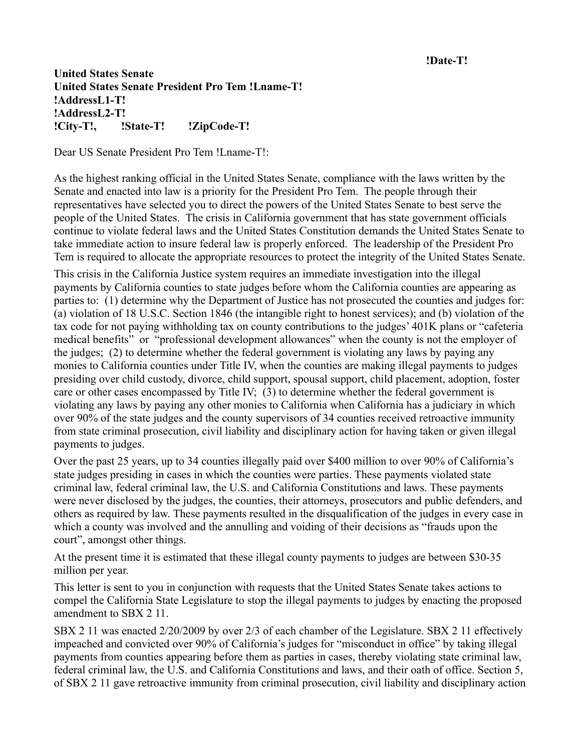## **!Date-T!**

## **United States Senate United States Senate President Pro Tem !Lname-T! !AddressL1-T! !AddressL2-T! !City-T!, !State-T! !ZipCode-T!**

Dear US Senate President Pro Tem !Lname-T!:

As the highest ranking official in the United States Senate, compliance with the laws written by the Senate and enacted into law is a priority for the President Pro Tem. The people through their representatives have selected you to direct the powers of the United States Senate to best serve the people of the United States. The crisis in California government that has state government officials continue to violate federal laws and the United States Constitution demands the United States Senate to take immediate action to insure federal law is properly enforced. The leadership of the President Pro Tem is required to allocate the appropriate resources to protect the integrity of the United States Senate.

This crisis in the California Justice system requires an immediate investigation into the illegal payments by California counties to state judges before whom the California counties are appearing as parties to: (1) determine why the Department of Justice has not prosecuted the counties and judges for: (a) violation of 18 U.S.C. Section 1846 (the intangible right to honest services); and (b) violation of the tax code for not paying withholding tax on county contributions to the judges' 401K plans or "cafeteria medical benefits" or "professional development allowances" when the county is not the employer of the judges; (2) to determine whether the federal government is violating any laws by paying any monies to California counties under Title IV, when the counties are making illegal payments to judges presiding over child custody, divorce, child support, spousal support, child placement, adoption, foster care or other cases encompassed by Title IV; (3) to determine whether the federal government is violating any laws by paying any other monies to California when California has a judiciary in which over 90% of the state judges and the county supervisors of 34 counties received retroactive immunity from state criminal prosecution, civil liability and disciplinary action for having taken or given illegal payments to judges.

Over the past 25 years, up to 34 counties illegally paid over \$400 million to over 90% of California's state judges presiding in cases in which the counties were parties. These payments violated state criminal law, federal criminal law, the U.S. and California Constitutions and laws. These payments were never disclosed by the judges, the counties, their attorneys, prosecutors and public defenders, and others as required by law. These payments resulted in the disqualification of the judges in every case in which a county was involved and the annulling and voiding of their decisions as "frauds upon the court", amongst other things.

At the present time it is estimated that these illegal county payments to judges are between \$30-35 million per year.

This letter is sent to you in conjunction with requests that the United States Senate takes actions to compel the California State Legislature to stop the illegal payments to judges by enacting the proposed amendment to SBX 2.11

SBX 2 11 was enacted 2/20/2009 by over 2/3 of each chamber of the Legislature. SBX 2 11 effectively impeached and convicted over 90% of California's judges for "misconduct in office" by taking illegal payments from counties appearing before them as parties in cases, thereby violating state criminal law, federal criminal law, the U.S. and California Constitutions and laws, and their oath of office. Section 5, of SBX 2 11 gave retroactive immunity from criminal prosecution, civil liability and disciplinary action